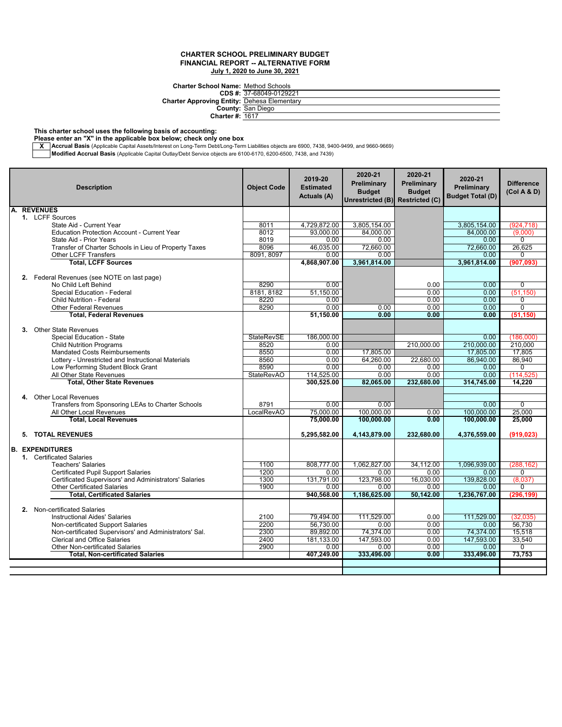**Charter School Name:** Method Schools

| Charter School Name: Method Schools                |
|----------------------------------------------------|
| CDS #: 37-68049-0129221                            |
| <b>Charter Approving Entity: Dehesa Elementary</b> |
| <b>County: San Diego</b>                           |
| <b>Charter #: 1617</b>                             |
|                                                    |

**This charter school uses the following basis of accounting:**

**Please enter an "X" in the applicable box below; check only one box**

**X \_\_Accrual Basis** (Applicable Capital Assets/Interest on Long-Term Debt/Long-Term Liabilities objects are 6900, 7438, 9400-9499, and 9660-9669)<br>Mo**dified Accrual Basis** (Applicable Capital Outlay/Debt Service objects are

| <b>Description</b>                                                                       | <b>Object Code</b> | 2019-20<br><b>Estimated</b><br><b>Actuals (A)</b> | 2020-21<br>Preliminary<br><b>Budget</b><br>Unrestricted (B) Restricted (C) | 2020-21<br>Preliminary<br><b>Budget</b> | 2020-21<br>Preliminary<br><b>Budget Total (D)</b> | <b>Difference</b><br>(Col A & D) |
|------------------------------------------------------------------------------------------|--------------------|---------------------------------------------------|----------------------------------------------------------------------------|-----------------------------------------|---------------------------------------------------|----------------------------------|
| A. REVENUES                                                                              |                    |                                                   |                                                                            |                                         |                                                   |                                  |
| 1. LCFF Sources                                                                          |                    |                                                   |                                                                            |                                         |                                                   |                                  |
| State Aid - Current Year                                                                 | 8011               | 4,729,872.00                                      | 3,805,154.00                                                               |                                         | 3,805,154.00                                      | (924.718)                        |
| <b>Education Protection Account - Current Year</b>                                       | 8012               | 93.000.00                                         | 84.000.00                                                                  |                                         | 84.000.00                                         | (9,000)                          |
| State Aid - Prior Years                                                                  | 8019               | 0.00                                              | 0.00                                                                       |                                         | 0.00                                              | $\Omega$                         |
| Transfer of Charter Schools in Lieu of Property Taxes<br><b>Other LCFF Transfers</b>     | 8096<br>8091, 8097 | 46,035.00<br>0.00                                 | 72.660.00<br>0.00                                                          |                                         | 72,660.00<br>0.00                                 | 26.625<br>$\Omega$               |
| <b>Total, LCFF Sources</b>                                                               |                    | 4,868,907.00                                      | 3,961,814.00                                                               |                                         | 3.961.814.00                                      | (907.093)                        |
|                                                                                          |                    |                                                   |                                                                            |                                         |                                                   |                                  |
| 2. Federal Revenues (see NOTE on last page)                                              |                    |                                                   |                                                                            |                                         |                                                   |                                  |
| No Child Left Behind                                                                     | 8290               | 0.00                                              |                                                                            | 0.00                                    | 0.00                                              | $\Omega$                         |
| Special Education - Federal                                                              | 8181, 8182         | 51.150.00                                         |                                                                            | 0.00                                    | 0.00                                              | (51, 150)                        |
| <b>Child Nutrition - Federal</b>                                                         | 8220               | 0.00                                              |                                                                            | 0.00                                    | 0.00                                              | $\Omega$                         |
| <b>Other Federal Revenues</b>                                                            | 8290               | 0.00                                              | 0.00                                                                       | 0.00                                    | 0.00                                              | $\overline{0}$                   |
| <b>Total, Federal Revenues</b>                                                           |                    | 51,150.00                                         | 0.00                                                                       | 0.00                                    | 0.00                                              | (51, 150)                        |
|                                                                                          |                    |                                                   |                                                                            |                                         |                                                   |                                  |
| 3. Other State Revenues                                                                  |                    |                                                   |                                                                            |                                         |                                                   |                                  |
| Special Education - State                                                                | <b>StateRevSE</b>  | 186,000.00                                        |                                                                            |                                         | 0.00                                              | (186.000)                        |
| <b>Child Nutrition Programs</b>                                                          | 8520               | 0.00                                              |                                                                            | 210.000.00                              | 210.000.00                                        | 210.000                          |
| <b>Mandated Costs Reimbursements</b>                                                     | 8550<br>8560       | 0.00<br>0.00                                      | 17.805.00                                                                  |                                         | 17,805.00                                         | 17.805<br>86,940                 |
| Lottery - Unrestricted and Instructional Materials<br>Low Performing Student Block Grant | 8590               | 0.00                                              | 64,260.00<br>0.00                                                          | 22,680.00<br>0.00                       | 86,940.00<br>0.00                                 | 0                                |
| All Other State Revenues                                                                 | <b>StateRevAO</b>  | 114,525.00                                        | 0.00                                                                       | 0.00                                    | 0.00                                              | (114, 525)                       |
| <b>Total, Other State Revenues</b>                                                       |                    | 300,525.00                                        | 82.065.00                                                                  | 232.680.00                              | 314.745.00                                        | 14.220                           |
|                                                                                          |                    |                                                   |                                                                            |                                         |                                                   |                                  |
| 4. Other Local Revenues                                                                  |                    |                                                   |                                                                            |                                         |                                                   |                                  |
| Transfers from Sponsoring LEAs to Charter Schools                                        | 8791               | 0.00                                              | 0.00                                                                       |                                         | 0.00                                              | $\Omega$                         |
| All Other Local Revenues                                                                 | LocalRevAO         | 75,000.00                                         | 100.000.00                                                                 | 0.00                                    | 100.000.00                                        | 25,000                           |
| <b>Total, Local Revenues</b>                                                             |                    | 75,000.00                                         | 100,000.00                                                                 | 0.00                                    | 100,000.00                                        | 25,000                           |
|                                                                                          |                    |                                                   |                                                                            |                                         |                                                   |                                  |
| 5. TOTAL REVENUES                                                                        |                    | 5,295,582.00                                      | 4,143,879.00                                                               | 232,680.00                              | 4,376,559.00                                      | (919, 023)                       |
|                                                                                          |                    |                                                   |                                                                            |                                         |                                                   |                                  |
| <b>B. EXPENDITURES</b>                                                                   |                    |                                                   |                                                                            |                                         |                                                   |                                  |
| 1. Certificated Salaries<br><b>Teachers' Salaries</b>                                    | 1100               | 808.777.00                                        | 1.062.827.00                                                               | 34.112.00                               | 1.096.939.00                                      | (288.162)                        |
| <b>Certificated Pupil Support Salaries</b>                                               | 1200               | 0.00                                              | 0.00                                                                       | 0.00                                    | 0.00                                              | $\overline{0}$                   |
| Certificated Supervisors' and Administrators' Salaries                                   | 1300               | 131,791.00                                        | 123,798.00                                                                 | 16,030.00                               | 139,828.00                                        | (8,037)                          |
| <b>Other Certificated Salaries</b>                                                       | 1900               | 0.00                                              | 0.00                                                                       | 0.00                                    | 0.00                                              | 0                                |
| <b>Total, Certificated Salaries</b>                                                      |                    | 940,568.00                                        | 1,186,625.00                                                               | 50.142.00                               | 1,236,767.00                                      | (296,199                         |
|                                                                                          |                    |                                                   |                                                                            |                                         |                                                   |                                  |
| 2. Non-certificated Salaries                                                             |                    |                                                   |                                                                            |                                         |                                                   |                                  |
| <b>Instructional Aides' Salaries</b>                                                     | 2100               | 79.494.00                                         | 111.529.00                                                                 | 0.00                                    | 111,529.00                                        | (32, 035)                        |
| Non-certificated Support Salaries                                                        | 2200               | 56,730.00                                         | 0.00                                                                       | 0.00                                    | 0.00                                              | 56.730                           |
| Non-certificated Supervisors' and Administrators' Sal.                                   | 2300               | 89,892.00                                         | 74,374.00                                                                  | 0.00                                    | 74,374.00                                         | 15,518                           |
| <b>Clerical and Office Salaries</b>                                                      | 2400               | 181,133.00                                        | 147,593.00                                                                 | 0.00                                    | 147,593.00                                        | 33,540                           |
| <b>Other Non-certificated Salaries</b>                                                   | 2900               | 0.00                                              | 0.00                                                                       | 0.00                                    | 0.00                                              | $\Omega$                         |
| <b>Total, Non-certificated Salaries</b>                                                  |                    | 407,249.00                                        | 333,496.00                                                                 | 0.00                                    | 333,496.00                                        | 73,753                           |
|                                                                                          |                    |                                                   |                                                                            |                                         |                                                   |                                  |
|                                                                                          |                    |                                                   |                                                                            |                                         |                                                   |                                  |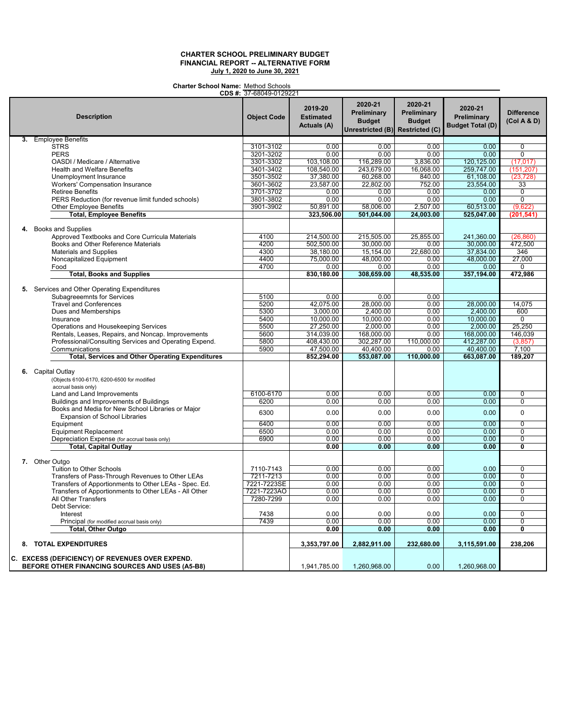**Charter School Name:** Method Schools

|                                                                                                                                                                                                                                                                                                                                                                                                                                                                                 | CDS #: 37-68049-0129221                                      |                                                                                                                |                                                                                                               |                                                                                  |                                                                                                       |                                                                               |
|---------------------------------------------------------------------------------------------------------------------------------------------------------------------------------------------------------------------------------------------------------------------------------------------------------------------------------------------------------------------------------------------------------------------------------------------------------------------------------|--------------------------------------------------------------|----------------------------------------------------------------------------------------------------------------|---------------------------------------------------------------------------------------------------------------|----------------------------------------------------------------------------------|-------------------------------------------------------------------------------------------------------|-------------------------------------------------------------------------------|
| <b>Description</b>                                                                                                                                                                                                                                                                                                                                                                                                                                                              | <b>Object Code</b>                                           | 2019-20<br><b>Estimated</b><br><b>Actuals (A)</b>                                                              | 2020-21<br>Preliminary<br><b>Budget</b><br>Unrestricted (B)                                                   | 2020-21<br>Preliminary<br><b>Budget</b><br><b>Restricted (C)</b>                 | 2020-21<br>Preliminary<br><b>Budget Total (D)</b>                                                     | <b>Difference</b><br>(Col A & D)                                              |
| 3. Employee Benefits                                                                                                                                                                                                                                                                                                                                                                                                                                                            |                                                              |                                                                                                                |                                                                                                               |                                                                                  |                                                                                                       |                                                                               |
| <b>STRS</b>                                                                                                                                                                                                                                                                                                                                                                                                                                                                     | 3101-3102                                                    | 0.00                                                                                                           | 0.00                                                                                                          | 0.00                                                                             | 0.00                                                                                                  | $\mathbf 0$                                                                   |
| <b>PERS</b>                                                                                                                                                                                                                                                                                                                                                                                                                                                                     | 3201-3202                                                    | 0.00                                                                                                           | 0.00                                                                                                          | 0.00                                                                             | 0.00                                                                                                  | 0                                                                             |
| OASDI / Medicare / Alternative                                                                                                                                                                                                                                                                                                                                                                                                                                                  | 3301-3302                                                    | 103,108.00                                                                                                     | 116,289.00                                                                                                    | 3,836.00                                                                         | 120,125.00                                                                                            | (17, 017)                                                                     |
| <b>Health and Welfare Benefits</b>                                                                                                                                                                                                                                                                                                                                                                                                                                              | 3401-3402                                                    | 108,540.00                                                                                                     | 243,679.00                                                                                                    | 16,068.00                                                                        | 259,747.00                                                                                            | (151, 207)                                                                    |
| Unemployment Insurance                                                                                                                                                                                                                                                                                                                                                                                                                                                          | 3501-3502                                                    | 37,380.00                                                                                                      | 60,268.00                                                                                                     | 840.00                                                                           | 61,108.00                                                                                             | (23, 728)                                                                     |
| <b>Workers' Compensation Insurance</b>                                                                                                                                                                                                                                                                                                                                                                                                                                          | 3601-3602                                                    | 23,587.00                                                                                                      | 22,802.00                                                                                                     | 752.00                                                                           | 23,554.00                                                                                             | 33                                                                            |
| <b>Retiree Benefits</b>                                                                                                                                                                                                                                                                                                                                                                                                                                                         | 3701-3702                                                    | 0.00                                                                                                           | 0.00                                                                                                          | 0.00                                                                             | 0.00                                                                                                  | $\overline{0}$                                                                |
| PERS Reduction (for revenue limit funded schools)                                                                                                                                                                                                                                                                                                                                                                                                                               | 3801-3802                                                    | 0.00                                                                                                           | 0.00                                                                                                          | 0.00                                                                             | 0.00                                                                                                  | $\overline{0}$                                                                |
|                                                                                                                                                                                                                                                                                                                                                                                                                                                                                 | 3901-3902                                                    |                                                                                                                | 58,006.00                                                                                                     |                                                                                  |                                                                                                       | (9,622)                                                                       |
| <b>Other Employee Benefits</b>                                                                                                                                                                                                                                                                                                                                                                                                                                                  |                                                              | 50,891.00                                                                                                      |                                                                                                               | 2,507.00                                                                         | 60,513.00                                                                                             |                                                                               |
| <b>Total, Employee Benefits</b>                                                                                                                                                                                                                                                                                                                                                                                                                                                 |                                                              | 323,506.00                                                                                                     | 501,044.00                                                                                                    | 24,003.00                                                                        | 525,047.00                                                                                            | (201, 541)                                                                    |
| 4. Books and Supplies<br>Approved Textbooks and Core Curricula Materials<br>Books and Other Reference Materials<br><b>Materials and Supplies</b><br>Noncapitalized Equipment<br>Food                                                                                                                                                                                                                                                                                            | 4100<br>4200<br>4300<br>4400<br>4700                         | 214,500.00<br>502,500.00<br>38,180.00<br>75,000.00                                                             | 215,505.00<br>30,000.00<br>15,154.00<br>48,000.00<br>0.00                                                     | 25,855.00<br>0.00<br>22,680.00<br>0.00                                           | 241,360.00<br>30,000.00<br>37,834.00<br>48,000.00<br>0.00                                             | (26, 860)<br>472,500<br>346<br>27,000<br>0                                    |
|                                                                                                                                                                                                                                                                                                                                                                                                                                                                                 |                                                              | 0.00                                                                                                           |                                                                                                               | 0.00                                                                             |                                                                                                       |                                                                               |
| <b>Total, Books and Supplies</b>                                                                                                                                                                                                                                                                                                                                                                                                                                                |                                                              | 830,180.00                                                                                                     | 308,659.00                                                                                                    | 48,535.00                                                                        | 357,194.00                                                                                            | 472,986                                                                       |
| 5. Services and Other Operating Expenditures<br>Subagreeemnts for Services<br><b>Travel and Conferences</b><br>Dues and Memberships<br>Insurance<br>Operations and Housekeeping Services<br>Rentals, Leases, Repairs, and Noncap. Improvements<br>Professional/Consulting Services and Operating Expend.<br>Communications<br><b>Total, Services and Other Operating Expenditures</b><br>6. Capital Outlay<br>(Objects 6100-6170, 6200-6500 for modified<br>accrual basis only) | 5100<br>5200<br>5300<br>5400<br>5500<br>5600<br>5800<br>5900 | 0.00<br>42,075.00<br>3,000.00<br>10,000.00<br>27,250.00<br>314,039.00<br>408,430.00<br>47,500.00<br>852,294.00 | 0.00<br>28.000.00<br>2,400.00<br>10,000.00<br>2,000.00<br>168,000.00<br>302,287.00<br>40,400.00<br>553,087.00 | 0.00<br>0.00<br>0.00<br>0.00<br>0.00<br>0.00<br>110,000.00<br>0.00<br>110,000.00 | 28,000.00<br>2,400.00<br>10,000.00<br>2,000.00<br>168,000.00<br>412,287.00<br>40,400.00<br>663,087.00 | 14.075<br>600<br>$\Omega$<br>25,250<br>146,039<br>(3,857)<br>7,100<br>189,207 |
| Land and Land Improvements                                                                                                                                                                                                                                                                                                                                                                                                                                                      | 6100-6170                                                    | 0.00                                                                                                           | 0.00                                                                                                          | 0.00                                                                             | 0.00                                                                                                  | $\overline{0}$                                                                |
| Buildings and Improvements of Buildings                                                                                                                                                                                                                                                                                                                                                                                                                                         | 6200                                                         | 0.00                                                                                                           | 0.00                                                                                                          | 0.00                                                                             | 0.00                                                                                                  | $\overline{0}$                                                                |
| Books and Media for New School Libraries or Major<br>Expansion of School Libraries                                                                                                                                                                                                                                                                                                                                                                                              | 6300                                                         | 0.00                                                                                                           | 0.00                                                                                                          | 0.00                                                                             | 0.00                                                                                                  | $\pmb{0}$                                                                     |
| Equipment                                                                                                                                                                                                                                                                                                                                                                                                                                                                       | 6400                                                         | 0.00                                                                                                           | 0.00                                                                                                          | 0.00                                                                             | 0.00                                                                                                  | $\overline{0}$                                                                |
| <b>Equipment Replacement</b>                                                                                                                                                                                                                                                                                                                                                                                                                                                    | 6500                                                         | 0.00                                                                                                           | 0.00                                                                                                          | 0.00                                                                             | 0.00                                                                                                  | $\overline{0}$                                                                |
| Depreciation Expense (for accrual basis only)                                                                                                                                                                                                                                                                                                                                                                                                                                   | 6900                                                         | 0.00                                                                                                           | 0.00                                                                                                          | 0.00                                                                             | 0.00                                                                                                  | $\overline{0}$                                                                |
| <b>Total, Capital Outlay</b>                                                                                                                                                                                                                                                                                                                                                                                                                                                    |                                                              | 0.00                                                                                                           | 0.00                                                                                                          | 0.00                                                                             | 0.00                                                                                                  | 0                                                                             |
| 7. Other Outgo                                                                                                                                                                                                                                                                                                                                                                                                                                                                  |                                                              |                                                                                                                |                                                                                                               |                                                                                  |                                                                                                       |                                                                               |
| Tuition to Other Schools                                                                                                                                                                                                                                                                                                                                                                                                                                                        | 7110-7143                                                    | 0.00                                                                                                           | 0.00                                                                                                          | 0.00                                                                             | 0.00                                                                                                  | $\overline{0}$                                                                |
| Transfers of Pass-Through Revenues to Other LEAs                                                                                                                                                                                                                                                                                                                                                                                                                                | 7211-7213                                                    | 0.00                                                                                                           | 0.00                                                                                                          | 0.00                                                                             | 0.00                                                                                                  | $\mathbf 0$                                                                   |
| Transfers of Apportionments to Other LEAs - Spec. Ed.                                                                                                                                                                                                                                                                                                                                                                                                                           | 7221-7223SE                                                  | 0.00                                                                                                           | 0.00                                                                                                          | 0.00                                                                             | 0.00                                                                                                  | $\overline{0}$                                                                |
| Transfers of Apportionments to Other LEAs - All Other                                                                                                                                                                                                                                                                                                                                                                                                                           | 7221-7223AO                                                  | 0.00                                                                                                           | 0.00                                                                                                          | 0.00                                                                             | 0.00                                                                                                  | $\overline{0}$                                                                |
| All Other Transfers<br>Debt Service:                                                                                                                                                                                                                                                                                                                                                                                                                                            | 7280-7299                                                    | 0.00                                                                                                           | 0.00                                                                                                          | 0.00                                                                             | 0.00                                                                                                  | $\overline{0}$                                                                |
| Interest                                                                                                                                                                                                                                                                                                                                                                                                                                                                        | 7438                                                         | 0.00                                                                                                           | 0.00                                                                                                          | 0.00                                                                             | 0.00                                                                                                  | $\Omega$                                                                      |
| Principal (for modified accrual basis only)                                                                                                                                                                                                                                                                                                                                                                                                                                     | 7439                                                         | 0.00                                                                                                           | 0.00                                                                                                          | 0.00                                                                             | 0.00                                                                                                  | $\overline{0}$                                                                |
| <b>Total, Other Outgo</b>                                                                                                                                                                                                                                                                                                                                                                                                                                                       |                                                              | 0.00                                                                                                           | 0.00                                                                                                          | 0.00                                                                             | 0.00                                                                                                  | Ō                                                                             |
| 8. TOTAL EXPENDITURES                                                                                                                                                                                                                                                                                                                                                                                                                                                           |                                                              | 3,353,797.00                                                                                                   | 2,882,911.00                                                                                                  | 232,680.00                                                                       | 3,115,591.00                                                                                          | 238,206                                                                       |
| C. EXCESS (DEFICIENCY) OF REVENUES OVER EXPEND.<br>BEFORE OTHER FINANCING SOURCES AND USES (A5-B8)                                                                                                                                                                                                                                                                                                                                                                              |                                                              | 1,941,785.00                                                                                                   | 1,260,968.00                                                                                                  | 0.00                                                                             | 1,260,968.00                                                                                          |                                                                               |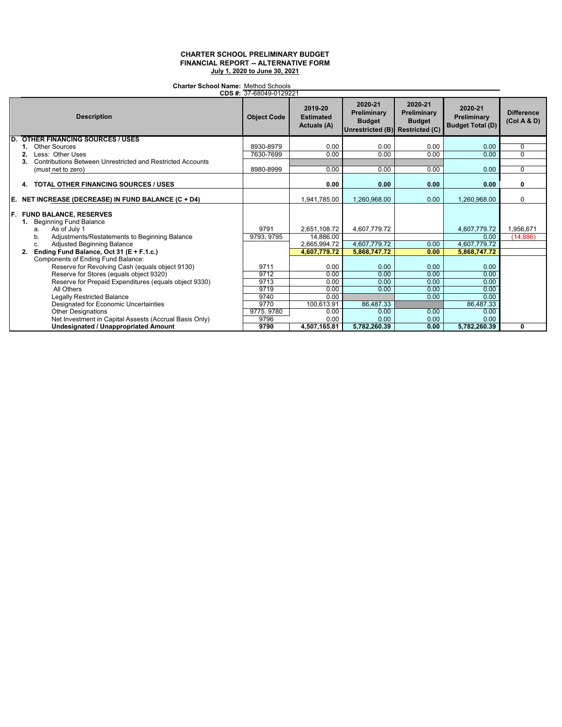# **Charter School Name:** Method Schools 37-68049-0129221

| <b>CDS</b> #: 37-68049-0129221 |                                                                                                                                                                                                                           |                    |                                                           |                                                                            |                                                |                                                      |                                  |
|--------------------------------|---------------------------------------------------------------------------------------------------------------------------------------------------------------------------------------------------------------------------|--------------------|-----------------------------------------------------------|----------------------------------------------------------------------------|------------------------------------------------|------------------------------------------------------|----------------------------------|
|                                | <b>Description</b>                                                                                                                                                                                                        | <b>Object Code</b> | 2019-20<br><b>Estimated</b><br>Actuals (A)                | 2020-21<br>Preliminary<br><b>Budget</b><br>Unrestricted (B) Restricted (C) | 2020-21<br><b>Preliminary</b><br><b>Budget</b> | 2020-21<br>Preliminary<br><b>Budget Total (D)</b>    | <b>Difference</b><br>(Col A & D) |
|                                | <b>D. OTHER FINANCING SOURCES / USES</b>                                                                                                                                                                                  |                    |                                                           |                                                                            |                                                |                                                      |                                  |
|                                | Other Sources                                                                                                                                                                                                             | 8930-8979          | 0.00                                                      | 0.00                                                                       | 0.00                                           | 0.00                                                 | $\Omega$                         |
|                                | Less: Other Uses<br>2.                                                                                                                                                                                                    | 7630-7699          | 0.00                                                      | 0.00                                                                       | 0.00                                           | 0.00                                                 | $\Omega$                         |
|                                | Contributions Between Unrestricted and Restricted Accounts<br>3.                                                                                                                                                          |                    |                                                           |                                                                            |                                                |                                                      |                                  |
|                                | (must net to zero)                                                                                                                                                                                                        | 8980-8999          | 0.00                                                      | 0.00                                                                       | 0.00                                           | 0.00                                                 | $\mathbf 0$                      |
|                                | <b>TOTAL OTHER FINANCING SOURCES / USES</b><br>4.                                                                                                                                                                         |                    | 0.00                                                      | 0.00                                                                       | 0.00                                           | 0.00                                                 | 0                                |
|                                | E. NET INCREASE (DECREASE) IN FUND BALANCE (C + D4)                                                                                                                                                                       |                    | 1,941,785.00                                              | 1,260,968.00                                                               | 0.00                                           | 1,260,968.00                                         | $\mathbf 0$                      |
|                                | F. FUND BALANCE, RESERVES<br>1. Beginning Fund Balance<br>As of July 1<br>a.<br>Adjustments/Restatements to Beginning Balance<br>b.<br>Adjusted Beginning Balance<br>c.<br>Ending Fund Balance, Oct 31 (E + F.1.c.)<br>2. | 9791<br>9793, 9795 | 2,651,108.72<br>14,886.00<br>2,665,994.72<br>4,607,779.72 | 4,607,779.72<br>4,607,779.72<br>5,868,747.72                               | 0.00<br>0.00                                   | 4,607,779.72<br>0.00<br>4,607,779.72<br>5,868,747.72 | 1,956,671<br>(14, 886)           |
|                                | Components of Ending Fund Balance:                                                                                                                                                                                        |                    |                                                           |                                                                            |                                                |                                                      |                                  |
|                                | Reserve for Revolving Cash (equals object 9130)                                                                                                                                                                           | 9711               | 0.00                                                      | 0.00                                                                       | 0.00                                           | 0.00                                                 |                                  |
|                                | Reserve for Stores (equals object 9320)                                                                                                                                                                                   | 9712               | 0.00                                                      | 0.00                                                                       | 0.00                                           | 0.00                                                 |                                  |
|                                | Reserve for Prepaid Expenditures (equals object 9330)                                                                                                                                                                     | 9713               | 0.00                                                      | 0.00                                                                       | 0.00                                           | 0.00                                                 |                                  |
|                                | All Others                                                                                                                                                                                                                | 9719               | 0.00                                                      | 0.00                                                                       | 0.00                                           | 0.00                                                 |                                  |
|                                | <b>Legally Restricted Balance</b>                                                                                                                                                                                         | 9740               | 0.00                                                      |                                                                            | 0.00                                           | 0.00                                                 |                                  |
|                                | Designated for Economic Uncertainties                                                                                                                                                                                     | 9770               | 100,613.91                                                | 86.487.33                                                                  |                                                | 86,487.33                                            |                                  |
|                                | <b>Other Designations</b>                                                                                                                                                                                                 | 9775, 9780         | 0.00                                                      | 0.00                                                                       | 0.00                                           | 0.00                                                 |                                  |
|                                | Net Investment in Capital Assests (Accrual Basis Only)                                                                                                                                                                    | 9796               | 0.00                                                      | 0.00                                                                       | 0.00                                           | 0.00                                                 |                                  |
|                                | Undesignated / Unappropriated Amount                                                                                                                                                                                      | 9790               | 4,507,165.81                                              | 5,782,260.39                                                               | 0.00                                           | 5,782,260.39                                         | 0                                |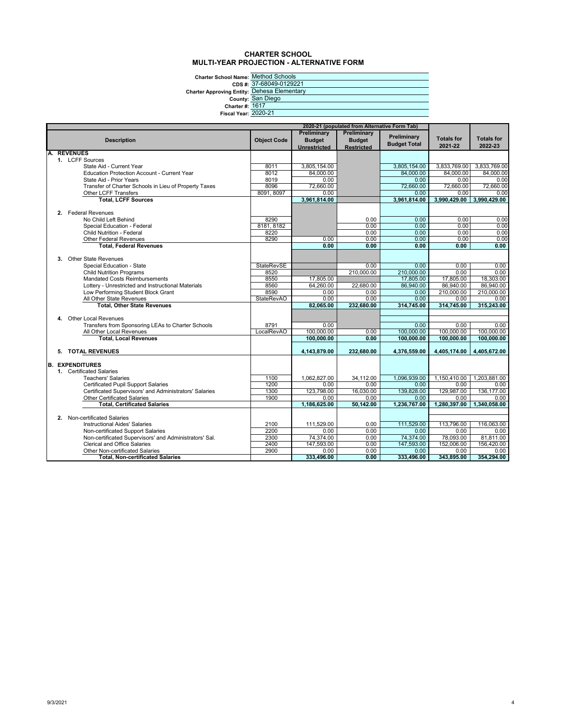## **CHARTER SCHOOL MULTI-YEAR PROJECTION - ALTERNATIVE FORM**

**Charter School Name: CDS #:** Method Schools 37-68049-0129221

| <b>Charter Approving Entity: Dehesa</b> |                        |
|-----------------------------------------|------------------------|
|                                         | <b>County: San Die</b> |
| <b>Charter #: 1617</b>                  |                        |
| <b>Fiscal Year: 2020-21</b>             |                        |
|                                         |                        |

| <u>UI-000 TU-0 IZUZZ I</u> |
|----------------------------|
| Dehesa Elementary          |
| San Diego                  |
| 1617                       |
|                            |

| 2020-21 (populated from Alternative Form Tab) |  |                                                        |                    |               |                   |                     |                   |                           |
|-----------------------------------------------|--|--------------------------------------------------------|--------------------|---------------|-------------------|---------------------|-------------------|---------------------------|
|                                               |  |                                                        |                    | Preliminary   | Preliminary       | Preliminary         |                   |                           |
|                                               |  | <b>Description</b>                                     | <b>Object Code</b> | <b>Budget</b> | <b>Budget</b>     | <b>Budget Total</b> | <b>Totals for</b> | <b>Totals for</b>         |
|                                               |  |                                                        |                    | Unrestricted  | <b>Restricted</b> |                     | 2021-22           | 2022-23                   |
|                                               |  | <b>REVENUES</b>                                        |                    |               |                   |                     |                   |                           |
|                                               |  | 1. LCFF Sources                                        |                    |               |                   |                     |                   |                           |
|                                               |  | State Aid - Current Year                               | 8011               | 3,805,154.00  |                   | 3,805,154.00        | 3,833,769.00      | 3,833,769.00              |
|                                               |  | <b>Education Protection Account - Current Year</b>     | 8012               | 84,000.00     |                   | 84,000.00           | 84,000.00         | 84,000.00                 |
|                                               |  | State Aid - Prior Years                                | 8019               | 0.00          |                   | 0.00                | 0.00              | 0.00                      |
|                                               |  | Transfer of Charter Schools in Lieu of Property Taxes  | 8096               | 72.660.00     |                   | 72,660.00           | 72.660.00         | 72.660.00                 |
|                                               |  | Other LCFF Transfers                                   | 8091, 8097         | 0.00          |                   | 0.00                | 0.00              | 0.00                      |
|                                               |  | <b>Total, LCFF Sources</b>                             |                    | 3,961,814.00  |                   | 3,961,814.00        |                   | 3,990,429.00 3,990,429.00 |
|                                               |  |                                                        |                    |               |                   |                     |                   |                           |
|                                               |  | 2. Federal Revenues                                    |                    |               |                   |                     |                   |                           |
|                                               |  | No Child Left Behind                                   | 8290               |               | 0.00              | 0.00                | 0.00              | 0.00                      |
|                                               |  | Special Education - Federal                            | 8181, 8182         |               | 0.00              | 0.00                | 0.00              | 0.00                      |
|                                               |  | <b>Child Nutrition - Federal</b>                       | 8220               |               | 0.00              | 0.00                | 0.00              | 0.00                      |
|                                               |  | <b>Other Federal Revenues</b>                          | 8290               | 0.00          | 0.00              | 0.00                | 0.00              | 0.00                      |
|                                               |  | <b>Total, Federal Revenues</b>                         |                    | 0.00          | 0.00              | 0.00                | 0.00              | 0.00                      |
|                                               |  |                                                        |                    |               |                   |                     |                   |                           |
|                                               |  | 3. Other State Revenues                                |                    |               |                   |                     |                   |                           |
|                                               |  | Special Education - State                              | <b>StateRevSE</b>  |               | 0.00              | 0.00                | 0.00              | 0.00                      |
|                                               |  | <b>Child Nutrition Programs</b>                        | 8520               |               | 210.000.00        | 210,000.00          | 0.00              | 0.00                      |
|                                               |  | <b>Mandated Costs Reimbursements</b>                   | 8550               | 17,805.00     |                   | 17,805.00           | 17,805.00         | 18,303.00                 |
|                                               |  | Lottery - Unrestricted and Instructional Materials     | 8560               | 64,260.00     | 22,680.00         | 86,940.00           | 86,940.00         | 86,940.00                 |
|                                               |  | Low Performing Student Block Grant                     | 8590               | 0.00          | 0.00              | 0.00                | 210,000.00        | 210.000.00                |
|                                               |  | All Other State Revenues                               | <b>StateRevAO</b>  | 0.00          | 0.00              | 0.00                | 0.00              | 0.00                      |
|                                               |  | <b>Total, Other State Revenues</b>                     |                    | 82.065.00     | 232,680.00        | 314,745.00          | 314,745.00        | 315,243.00                |
|                                               |  |                                                        |                    |               |                   |                     |                   |                           |
|                                               |  | 4. Other Local Revenues                                |                    |               |                   |                     |                   |                           |
|                                               |  | Transfers from Sponsoring LEAs to Charter Schools      | 8791               | 0.00          |                   | 0.00                | 0.00              | 0.00                      |
|                                               |  | All Other Local Revenues                               | <b>LocalRevAO</b>  | 100.000.00    | 0.00              | 100.000.00          | 100.000.00        | 100.000.00                |
|                                               |  | <b>Total, Local Revenues</b>                           |                    | 100,000.00    | 0.00              | 100,000.00          | 100,000.00        | 100,000.00                |
|                                               |  |                                                        |                    |               |                   |                     |                   |                           |
|                                               |  | 5. TOTAL REVENUES                                      |                    | 4,143,879.00  | 232,680.00        | 4,376,559.00        | 4,405,174.00      | 4,405,672.00              |
|                                               |  |                                                        |                    |               |                   |                     |                   |                           |
|                                               |  | <b>B. EXPENDITURES</b>                                 |                    |               |                   |                     |                   |                           |
|                                               |  | 1. Certificated Salaries                               |                    |               |                   |                     |                   |                           |
|                                               |  | <b>Teachers' Salaries</b>                              | 1100               | 1.062.827.00  | 34,112.00         | 1.096.939.00        | 1.150.410.00      | 1.203.881.00              |
|                                               |  | <b>Certificated Pupil Support Salaries</b>             | 1200               | 0.00          | 0.00              | 0.00                | 0.00              | 0.00                      |
|                                               |  | Certificated Supervisors' and Administrators' Salaries | 1300               | 123,798.00    | 16,030.00         | 139,828.00          | 129,987.00        | 136, 177.00               |
|                                               |  | <b>Other Certificated Salaries</b>                     | 1900               | 0.00          | 0.00              | 0.00                | 0.00              | 0.00                      |
|                                               |  | <b>Total, Certificated Salaries</b>                    |                    | 1.186.625.00  | 50.142.00         | 1.236.767.00        | 1.280.397.00      | 1.340.058.00              |
|                                               |  | 2. Non-certificated Salaries                           |                    |               |                   |                     |                   |                           |
|                                               |  |                                                        |                    |               |                   |                     |                   |                           |
|                                               |  | <b>Instructional Aides' Salaries</b>                   | 2100               | 111,529.00    | 0.00              | 111,529.00          | 113,796.00        | 116.063.00                |
|                                               |  | Non-certificated Support Salaries                      | 2200               | 0.00          | 0.00              | 0.00                | 0.00              | 0.00                      |
|                                               |  | Non-certificated Supervisors' and Administrators' Sal. | 2300               | 74,374.00     | 0.00              | 74,374.00           | 78,093.00         | 81,811.00                 |
|                                               |  | <b>Clerical and Office Salaries</b>                    | 2400               | 147,593.00    | 0.00              | 147,593.00          | 152,006.00        | 156,420.00                |
|                                               |  | <b>Other Non-certificated Salaries</b>                 | 2900               | 0.00          | 0.00              | 0.00                | 0.00              | 0.00                      |
|                                               |  | <b>Total, Non-certificated Salaries</b>                |                    | 333.496.00    | 0.00              | 333.496.00          | 343.895.00        | 354,294.00                |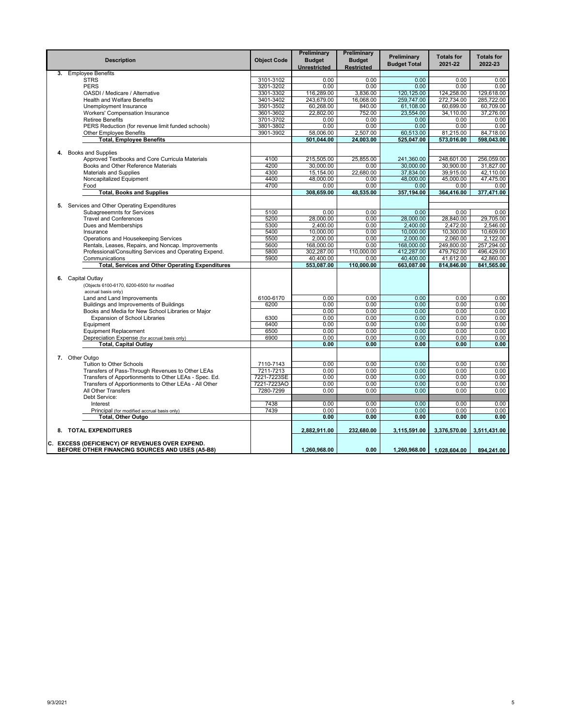|    | <b>Description</b>                                                                                 | <b>Object Code</b> | Preliminary<br><b>Budget</b><br>Unrestricted | Preliminary<br><b>Budget</b><br><b>Restricted</b> | Preliminary<br><b>Budget Total</b> | <b>Totals for</b><br>2021-22 | <b>Totals for</b><br>2022-23 |
|----|----------------------------------------------------------------------------------------------------|--------------------|----------------------------------------------|---------------------------------------------------|------------------------------------|------------------------------|------------------------------|
| 3. | <b>Employee Benefits</b>                                                                           |                    |                                              |                                                   |                                    |                              |                              |
|    | <b>STRS</b>                                                                                        | 3101-3102          | 0.00                                         | 0.00                                              | 0.00                               | 0.00                         | 0.00                         |
|    | <b>PERS</b>                                                                                        | 3201-3202          | 0.00                                         | 0.00                                              | 0.00                               | 0.00                         | 0.00                         |
|    | OASDI / Medicare / Alternative                                                                     | 3301-3302          | 116,289.00                                   | 3,836.00                                          | 120,125.00                         | 124,258.00                   | 129,618.00                   |
|    | <b>Health and Welfare Benefits</b>                                                                 | 3401-3402          | 243,679.00                                   | 16,068.00                                         | 259,747.00                         | 272,734.00                   | 285.722.00                   |
|    | Unemployment Insurance                                                                             | 3501-3502          | 60,268.00                                    | 840.00                                            | 61,108.00                          | 60,699.00                    | 60,709.00                    |
|    | Workers' Compensation Insurance                                                                    | 3601-3602          | 22,802.00                                    | 752.00                                            | 23,554.00                          | 34,110.00                    | 37,276.00                    |
|    | <b>Retiree Benefits</b>                                                                            | 3701-3702          | 0.00                                         | 0.00                                              | 0.00                               | 0.00                         | 0.00                         |
|    | PERS Reduction (for revenue limit funded schools)                                                  | 3801-3802          | 0.00                                         | 0.00                                              | 0.00                               | 0.00                         | 0.00                         |
|    | <b>Other Employee Benefits</b>                                                                     | 3901-3902          | 58,006.00<br>501,044.00                      | 2,507.00<br>24,003.00                             | 60,513.00                          | 81,215.00                    | 84,718.00<br>598,043.00      |
|    | <b>Total, Employee Benefits</b>                                                                    |                    |                                              |                                                   | 525,047.00                         | 573,016.00                   |                              |
| 4. | <b>Books and Supplies</b>                                                                          |                    |                                              |                                                   |                                    |                              |                              |
|    | Approved Textbooks and Core Curricula Materials                                                    | 4100               | 215,505.00                                   | 25,855.00                                         | 241,360.00                         | 248,601.00                   | 256,059.00                   |
|    | Books and Other Reference Materials                                                                | 4200               | 30,000.00                                    | 0.00                                              | 30.000.00                          | 30.900.00                    | 31.827.00                    |
|    | <b>Materials and Supplies</b>                                                                      | 4300               | 15,154.00                                    | 22.680.00                                         | 37,834.00                          | 39,915.00                    | 42.110.00                    |
|    | Noncapitalized Equipment                                                                           | 4400               | 48,000.00                                    | 0.00                                              | 48,000.00                          | 45,000.00                    | 47,475.00                    |
|    | Food                                                                                               | 4700               | 0.00                                         | 0.00                                              | 0.00                               | 0.00                         | 0.00                         |
|    | <b>Total, Books and Supplies</b>                                                                   |                    | 308,659.00                                   | 48,535.00                                         | 357,194.00                         | 364,416.00                   | 377,471.00                   |
|    |                                                                                                    |                    |                                              |                                                   |                                    |                              |                              |
|    | 5. Services and Other Operating Expenditures                                                       |                    |                                              |                                                   |                                    |                              |                              |
|    | Subagreeemnts for Services                                                                         | 5100               | 0.00                                         | 0.00                                              | 0.00                               | 0.00                         | 0.00                         |
|    | <b>Travel and Conferences</b>                                                                      | 5200               | 28,000.00                                    | 0.00                                              | 28,000.00                          | 28,840.00                    | 29.705.00                    |
|    | Dues and Memberships                                                                               | 5300               | 2,400.00                                     | 0.00                                              | 2,400.00                           | 2,472.00                     | 2,546.00                     |
|    | Insurance                                                                                          | 5400               | 10,000.00                                    | 0.00                                              | 10,000.00                          | 10,300.00                    | 10,609.00                    |
|    | Operations and Housekeeping Services                                                               | 5500               | 2,000.00                                     | 0.00                                              | 2.000.00                           | 2,060.00                     | 2.122.00                     |
|    | Rentals, Leases, Repairs, and Noncap. Improvements                                                 | 5600               | 168,000.00                                   | 0.00                                              | 168,000.00                         | 249,800.00                   | 257,294.00                   |
|    | Professional/Consulting Services and Operating Expend.                                             | 5800               | 302,287.00                                   | 110,000.00                                        | 412,287.00                         | 479,762.00                   | 496,429.00                   |
|    | Communications                                                                                     | 5900               | 40,400.00                                    | 0.00                                              | 40,400.00                          | 41,612.00                    | 42,860.00                    |
|    | <b>Total, Services and Other Operating Expenditures</b>                                            |                    | 553,087.00                                   | 110,000.00                                        | 663,087.00                         | 814,846.00                   | 841,565.00                   |
|    | 6. Capital Outlay<br>(Objects 6100-6170, 6200-6500 for modified<br>accrual basis only)             |                    |                                              |                                                   |                                    |                              |                              |
|    | Land and Land Improvements                                                                         | 6100-6170          | 0.00                                         | 0.00                                              | 0.00                               | 0.00                         | 0.00                         |
|    | Buildings and Improvements of Buildings                                                            | 6200               | 0.00                                         | 0.00                                              | 0.00                               | 0.00                         | 0.00                         |
|    | Books and Media for New School Libraries or Major                                                  |                    | 0.00                                         | 0.00                                              | 0.00                               | 0.00                         | 0.00                         |
|    | <b>Expansion of School Libraries</b>                                                               | 6300               | 0.00                                         | 0.00                                              | 0.00                               | 0.00                         | 0.00                         |
|    | Equipment                                                                                          | 6400               | 0.00                                         | 0.00                                              | 0.00                               | 0.00                         | 0.00                         |
|    | <b>Equipment Replacement</b>                                                                       | 6500               | 0.00                                         | 0.00                                              | 0.00                               | 0.00                         | 0.00                         |
|    | Depreciation Expense (for accrual basis only)                                                      | 6900               | 0.00                                         | 0.00                                              | 0.00                               | 0.00                         | 0.00                         |
|    | <b>Total, Capital Outlay</b>                                                                       |                    | 0.00                                         | 0.00                                              | 0.00                               | 0.00                         | 0.00                         |
|    | 7. Other Outgo                                                                                     |                    |                                              |                                                   |                                    |                              |                              |
|    | <b>Tuition to Other Schools</b>                                                                    | 7110-7143          | 0.00                                         | 0.00                                              | 0.00                               | 0.00                         | 0.00                         |
|    | Transfers of Pass-Through Revenues to Other LEAs                                                   | 7211-7213          | 0.00                                         | 0.00                                              | 0.00                               | 0.00                         | 0.00                         |
|    | Transfers of Apportionments to Other LEAs - Spec. Ed.                                              | 7221-7223SE        | 0.00                                         | 0.00                                              | 0.00                               | 0.00                         | 0.00                         |
|    | Transfers of Apportionments to Other LEAs - All Other                                              | 7221-7223AO        | 0.00                                         | 0.00                                              | 0.00                               | 0.00                         | 0.00                         |
|    | All Other Transfers                                                                                | 7280-7299          | 0.00                                         | 0.00                                              | 0.00                               | 0.00                         | 0.00                         |
|    | Debt Service:                                                                                      |                    |                                              |                                                   |                                    |                              |                              |
|    | Interest                                                                                           | 7438               | 0.00                                         | 0.00                                              | 0.00                               | 0.00                         | 0.00                         |
|    | Principal (for modified accrual basis only)                                                        | 7439               | 0.00                                         | 0.00                                              | 0.00                               | 0.00                         | 0.00                         |
|    | Total, Other Outgo                                                                                 |                    | 0.00                                         | 0.00                                              | 0.00                               | 0.00                         | 0.00                         |
|    | 8. TOTAL EXPENDITURES                                                                              |                    | 2.882.911.00                                 | 232,680.00                                        | 3,115,591.00                       | 3,376,570.00                 | 3,511,431.00                 |
|    | C. EXCESS (DEFICIENCY) OF REVENUES OVER EXPEND.<br>BEFORE OTHER FINANCING SOURCES AND USES (A5-B8) |                    | 1,260,968.00                                 | 0.00                                              | 1,260,968.00                       | 1,028,604.00                 | 894,241.00                   |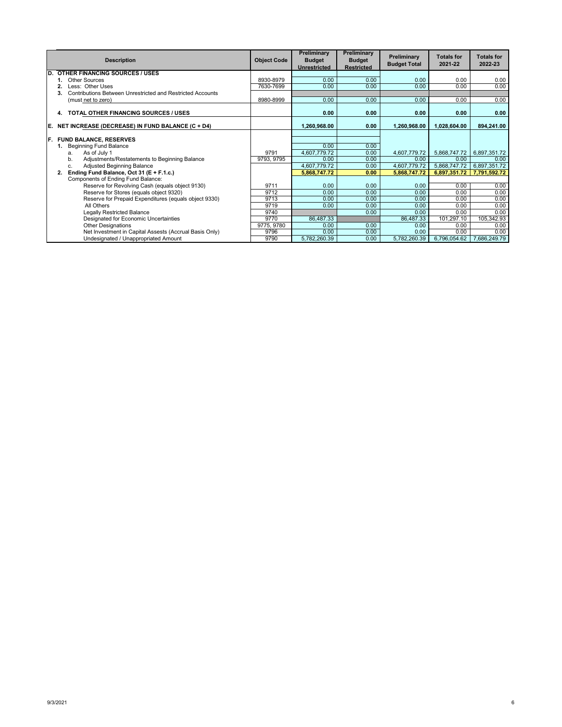|     | <b>Description</b>                                               | <b>Object Code</b> | Preliminary<br><b>Budget</b><br><b>Unrestricted</b> | Preliminary<br><b>Budget</b><br><b>Restricted</b> | Preliminary<br><b>Budget Total</b> | <b>Totals for</b><br>2021-22 | <b>Totals for</b><br>2022-23 |
|-----|------------------------------------------------------------------|--------------------|-----------------------------------------------------|---------------------------------------------------|------------------------------------|------------------------------|------------------------------|
| D.  | <b>OTHER FINANCING SOURCES / USES</b>                            |                    |                                                     |                                                   |                                    |                              |                              |
|     | Other Sources                                                    | 8930-8979          | 0.00                                                | 0.00                                              | 0.00                               | 0.00                         | 0.00                         |
|     | Less: Other Uses                                                 | 7630-7699          | 0.00                                                | 0.00                                              | 0.00                               | 0.00                         | 0.00                         |
|     | Contributions Between Unrestricted and Restricted Accounts<br>3. |                    |                                                     |                                                   |                                    |                              |                              |
|     | (must net to zero)                                               | 8980-8999          | 0.00                                                | 0.00                                              | 0.00                               | 0.00                         | 0.00                         |
|     | TOTAL OTHER FINANCING SOURCES / USES<br>4.                       |                    | 0.00                                                | 0.00                                              | 0.00                               | 0.00                         | 0.00                         |
| E.  | NET INCREASE (DECREASE) IN FUND BALANCE (C + D4)                 |                    | 1,260,968.00                                        | 0.00                                              | 1,260,968.00                       | 1,028,604.00                 | 894,241.00                   |
|     |                                                                  |                    |                                                     |                                                   |                                    |                              |                              |
| IF. | <b>FUND BALANCE, RESERVES</b>                                    |                    |                                                     |                                                   |                                    |                              |                              |
|     | <b>Beginning Fund Balance</b>                                    |                    | 0.00                                                | 0.00                                              |                                    |                              |                              |
|     | As of July 1<br>a.                                               | 9791               | 4,607,779.72                                        | 0.00                                              | 4,607,779.72                       | 5,868,747.72                 | 6,897,351.72                 |
|     | Adjustments/Restatements to Beginning Balance<br>b.              | 9793, 9795         | 0.00                                                | 0.00                                              | 0.00                               | 0.00                         | 0.00                         |
|     | Adjusted Beginning Balance<br>c.                                 |                    | 4,607,779.72                                        | 0.00                                              | 4,607,779.72                       | 5,868,747.72                 | 6,897,351.72                 |
|     | Ending Fund Balance, Oct 31 (E + F.1.c.)<br>2.                   |                    | 5,868,747.72                                        | 0.00                                              | 5.868.747.72                       | 6,897,351.72                 | 7,791,592.72                 |
|     | Components of Ending Fund Balance:                               |                    |                                                     |                                                   |                                    |                              |                              |
|     | Reserve for Revolving Cash (equals object 9130)                  | 9711               | 0.00                                                | 0.00                                              | 0.00                               | 0.00                         | 0.00                         |
|     | Reserve for Stores (equals object 9320)                          | 9712               | 0.00                                                | 0.00                                              | 0.00                               | 0.00                         | 0.00                         |
|     | Reserve for Prepaid Expenditures (equals object 9330)            | 9713               | 0.00                                                | 0.00                                              | 0.00                               | 0.00                         | 0.00                         |
|     | All Others                                                       | 9719               | 0.00                                                | 0.00                                              | 0.00                               | 0.00                         | 0.00                         |
|     | Legally Restricted Balance                                       | 9740               |                                                     | 0.00                                              | 0.00                               | 0.00                         | 0.00                         |
|     | Designated for Economic Uncertainties                            | 9770               | 86,487.33                                           |                                                   | 86,487.33                          | 101,297.10                   | 105,342.93                   |
|     | <b>Other Designations</b>                                        | 9775, 9780         | 0.00                                                | 0.00                                              | 0.00                               | 0.00                         | 0.00                         |
|     | Net Investment in Capital Assests (Accrual Basis Only)           | 9796               | 0.00                                                | 0.00                                              | 0.00                               | 0.00                         | 0.00                         |
|     | Undesignated / Unappropriated Amount                             | 9790               | 5,782,260.39                                        | 0.00                                              | 5,782,260.39                       | 6,796,054.62                 | 7,686,249.79                 |